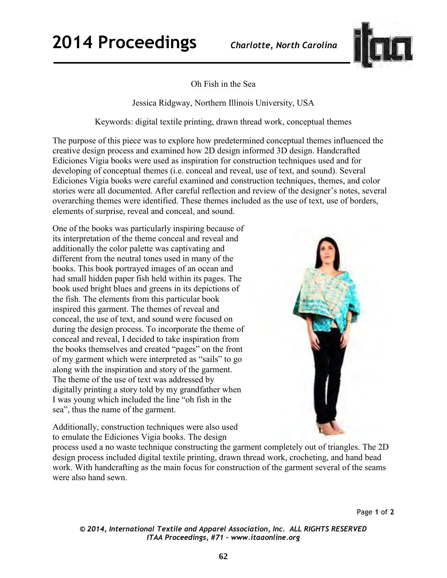

Oh Fish in the Sea

Jessica Ridgway, Northern Illinois University, USA

Keywords: digital textile printing, drawn thread work, conceptual themes

The purpose of this piece was to explore how predetermined conceptual themes influenced the creative design process and examined how 2D design informed 3D design. Handcrafted Ediciones Vigia books were used as inspiration for construction techniques used and for developing of conceptual themes (i.e. conceal and reveal, use of text, and sound). Several Ediciones Vigia books were careful examined and construction techniques, themes, and color stories were all documented. After careful reflection and review of the designer's notes, several overarching themes were identified. These themes included as the use of text, use of borders, elements of surprise, reveal and conceal, and sound.

One of the books was particularly inspiring because of its interpretation of the theme conceal and reveal and additionally the color palette was captivating and different from the neutral tones used in many of the books. This book portrayed images of an ocean and had small hidden paper fish held within its pages. The book used bright blues and greens in its depictions of the fish. The elements from this particular book inspired this garment. The themes of reveal and conceal, the use of text, and sound were focused on during the design process. To incorporate the theme of conceal and reveal, I decided to take inspiration from the books themselves and created "pages" on the front of my garment which were interpreted as "sails" to go along with the inspiration and story of the garment. The theme of the use of text was addressed by digitally printing a story told by my grandfather when I was young which included the line "oh fish in the sea", thus the name of the garment.



Additionally, construction techniques were also used to emulate the Ediciones Vigia books. The design

process used a no waste technique constructing the garment completely out of triangles. The 2D design process included digital textile printing, drawn thread work, crocheting, and hand bead work. With handcrafting as the main focus for construction of the garment several of the seams were also hand sewn.

Page **1** of **2** 

*© 2014, International Textile and Apparel Association, Inc. ALL RIGHTS RESERVED ITAA Proceedings, #71 – www.itaaonline.org*